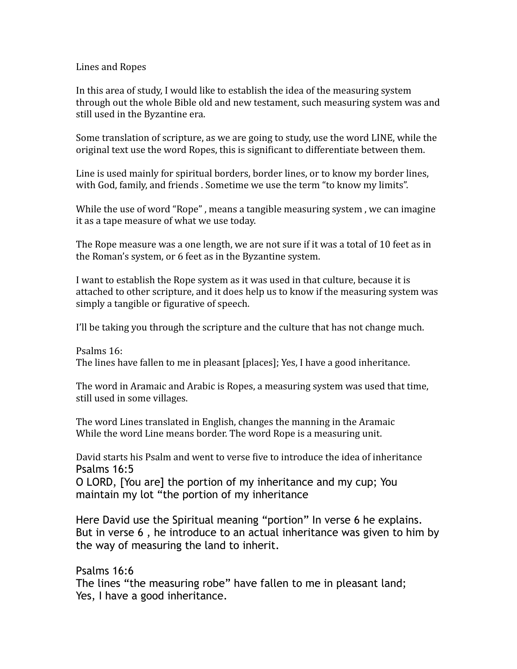## Lines and Ropes

In this area of study, I would like to establish the idea of the measuring system through out the whole Bible old and new testament, such measuring system was and still used in the Byzantine era.

Some translation of scripture, as we are going to study, use the word LINE, while the original text use the word Ropes, this is significant to differentiate between them.

Line is used mainly for spiritual borders, border lines, or to know my border lines, with God, family, and friends . Sometime we use the term "to know my limits".

While the use of word "Rope", means a tangible measuring system, we can imagine it as a tape measure of what we use today.

The Rope measure was a one length, we are not sure if it was a total of 10 feet as in the Roman's system, or 6 feet as in the Byzantine system.

I want to establish the Rope system as it was used in that culture, because it is attached to other scripture, and it does help us to know if the measuring system was simply a tangible or figurative of speech.

I'll be taking you through the scripture and the culture that has not change much.

Psalms 16: The lines have fallen to me in pleasant [places]; Yes, I have a good inheritance.

The word in Aramaic and Arabic is Ropes, a measuring system was used that time, still used in some villages.

The word Lines translated in English, changes the manning in the Aramaic While the word Line means border. The word Rope is a measuring unit.

David starts his Psalm and went to verse five to introduce the idea of inheritance Psalms 16:5

O LORD, [You are] the portion of my inheritance and my cup; You maintain my lot "the portion of my inheritance

Here David use the Spiritual meaning "portion" In verse 6 he explains. But in verse 6 , he introduce to an actual inheritance was given to him by the way of measuring the land to inherit.

Psalms 16:6 The lines "the measuring robe" have fallen to me in pleasant land; Yes, I have a good inheritance.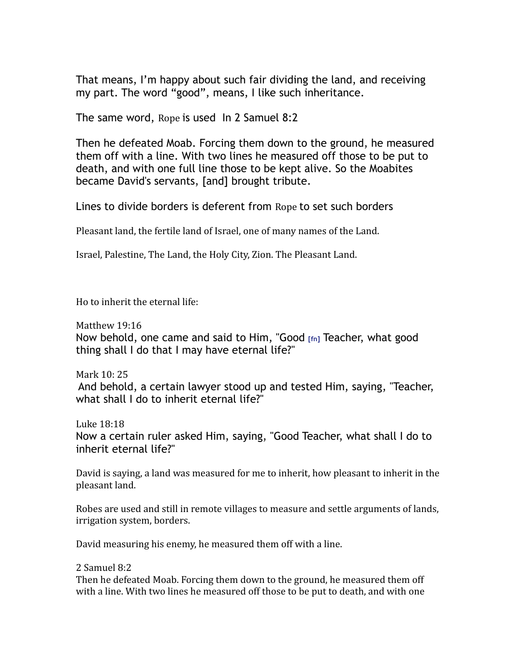That means, I'm happy about such fair dividing the land, and receiving my part. The word "good", means, I like such inheritance.

The same word, Rope is used In 2 Samuel 8:2

Then he defeated Moab. Forcing them down to the ground, he measured them off with a line. With two lines he measured off those to be put to death, and with one full line those to be kept alive. So the Moabites became David's servants, [and] brought tribute.

Lines to divide borders is deferent from Rope to set such borders

Pleasant land, the fertile land of Israel, one of many names of the Land.

Israel, Palestine, The Land, the Holy City, Zion. The Pleasant Land.

Ho to inherit the eternal life:

Matthew 19:16 Now behold, one came and said to Him, "Good **[fn]** Teacher, what good thing shall I do that I may have eternal life?"

Mark 10: 25 And behold, a certain lawyer stood up and tested Him, saying, "Teacher, what shall I do to inherit eternal life?"

Luke 18:18 Now a certain ruler asked Him, saying, "Good Teacher, what shall I do to inherit eternal life?"

David is saying, a land was measured for me to inherit, how pleasant to inherit in the pleasant land.

Robes are used and still in remote villages to measure and settle arguments of lands, irrigation system, borders.

David measuring his enemy, he measured them off with a line.

2 Samuel 8:2

Then he defeated Moab. Forcing them down to the ground, he measured them off with a line. With two lines he measured off those to be put to death, and with one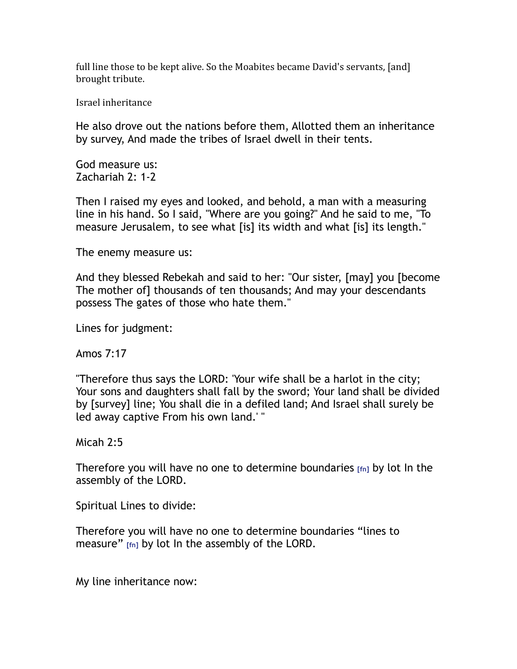full line those to be kept alive. So the Moabites became David's servants, [and] brought tribute.

Israel inheritance

He also drove out the nations before them, Allotted them an inheritance by survey, And made the tribes of Israel dwell in their tents.

God measure us: Zachariah 2: 1-2

Then I raised my eyes and looked, and behold, a man with a measuring line in his hand. So I said, "Where are you going?" And he said to me, "To measure Jerusalem, to see what [is] its width and what [is] its length."

The enemy measure us:

And they blessed Rebekah and said to her: "Our sister, [may] you [become The mother of] thousands of ten thousands; And may your descendants possess The gates of those who hate them."

Lines for judgment:

Amos 7:17

"Therefore thus says the LORD: 'Your wife shall be a harlot in the city; Your sons and daughters shall fall by the sword; Your land shall be divided by [survey] line; You shall die in a defiled land; And Israel shall surely be led away captive From his own land.' "

Micah 2:5

Therefore you will have no one to determine boundaries **[fn]** by lot In the assembly of the LORD.

Spiritual Lines to divide:

Therefore you will have no one to determine boundaries "lines to measure" **[fn]** by lot In the assembly of the LORD.

My line inheritance now: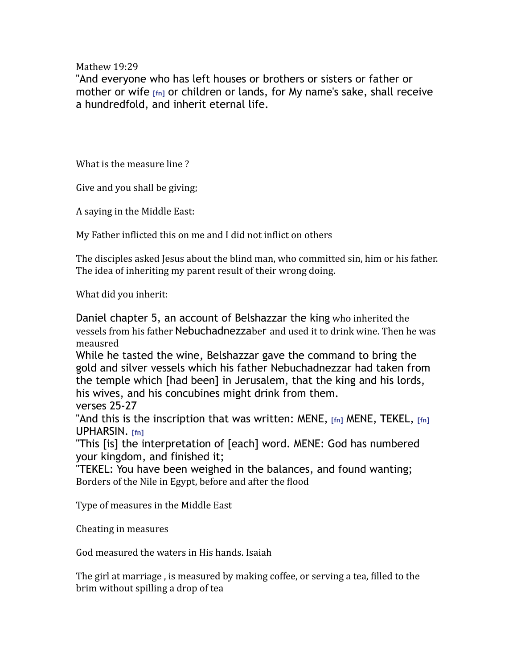Mathew 19:29

"And everyone who has left houses or brothers or sisters or father or mother or wife **[fn]** or children or lands, for My name's sake, shall receive a hundredfold, and inherit eternal life.

What is the measure line?

Give and you shall be giving;

A saying in the Middle East:

My Father inflicted this on me and I did not inflict on others

The disciples asked Jesus about the blind man, who committed sin, him or his father. The idea of inheriting my parent result of their wrong doing.

What did you inherit:

Daniel chapter 5, an account of Belshazzar the king who inherited the vessels from his father Nebuchadnezzaber and used it to drink wine. Then he was meausred 

While he tasted the wine, Belshazzar gave the command to bring the gold and silver vessels which his father Nebuchadnezzar had taken from the temple which [had been] in Jerusalem, that the king and his lords, his wives, and his concubines might drink from them. verses 25-27

"And this is the inscription that was written: MENE, **[fn]** MENE, TEKEL, **[fn]** UPHARSIN. **[fn]** 

"This [is] the interpretation of [each] word. MENE: God has numbered your kingdom, and finished it;

"TEKEL: You have been weighed in the balances, and found wanting; Borders of the Nile in Egypt, before and after the flood

Type of measures in the Middle East

Cheating in measures

God measured the waters in His hands. Isaiah

The girl at marriage, is measured by making coffee, or serving a tea, filled to the brim without spilling a drop of tea